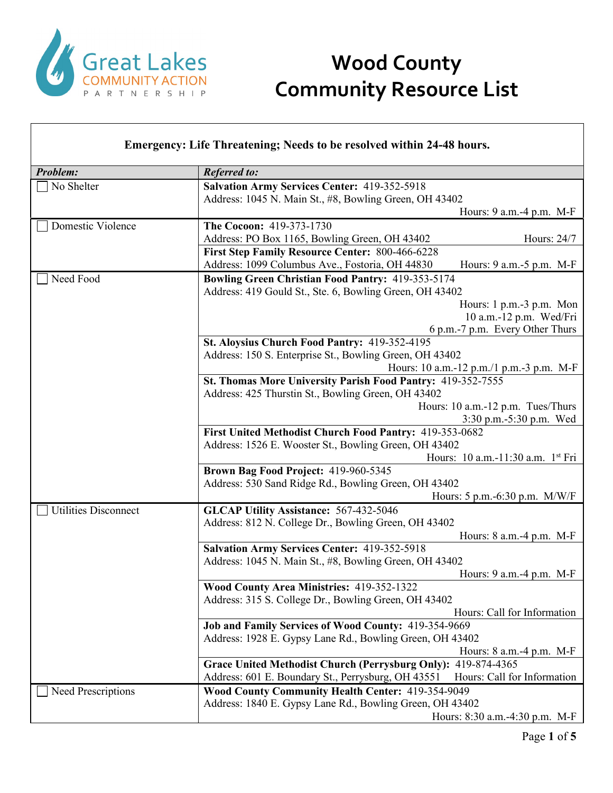

| Emergency: Life Threatening; Needs to be resolved within 24-48 hours. |                                                                                                                                |  |
|-----------------------------------------------------------------------|--------------------------------------------------------------------------------------------------------------------------------|--|
| <b>Problem:</b>                                                       | <b>Referred to:</b>                                                                                                            |  |
| No Shelter                                                            | <b>Salvation Army Services Center: 419-352-5918</b>                                                                            |  |
|                                                                       | Address: 1045 N. Main St., #8, Bowling Green, OH 43402                                                                         |  |
|                                                                       | Hours: 9 a.m.-4 p.m. M-F                                                                                                       |  |
| Domestic Violence                                                     | The Cocoon: 419-373-1730                                                                                                       |  |
|                                                                       | Address: PO Box 1165, Bowling Green, OH 43402<br>Hours: 24/7                                                                   |  |
|                                                                       | First Step Family Resource Center: 800-466-6228<br>Address: 1099 Columbus Ave., Fostoria, OH 44830<br>Hours: 9 a.m.-5 p.m. M-F |  |
| Need Food                                                             | <b>Bowling Green Christian Food Pantry: 419-353-5174</b>                                                                       |  |
|                                                                       | Address: 419 Gould St., Ste. 6, Bowling Green, OH 43402                                                                        |  |
|                                                                       | Hours: 1 p.m.-3 p.m. Mon                                                                                                       |  |
|                                                                       | 10 a.m.-12 p.m. Wed/Fri                                                                                                        |  |
|                                                                       | 6 p.m.-7 p.m. Every Other Thurs                                                                                                |  |
|                                                                       | St. Aloysius Church Food Pantry: 419-352-4195                                                                                  |  |
|                                                                       | Address: 150 S. Enterprise St., Bowling Green, OH 43402<br>Hours: 10 a.m.-12 p.m./1 p.m.-3 p.m. M-F                            |  |
|                                                                       | St. Thomas More University Parish Food Pantry: 419-352-7555                                                                    |  |
|                                                                       | Address: 425 Thurstin St., Bowling Green, OH 43402                                                                             |  |
|                                                                       | Hours: 10 a.m.-12 p.m. Tues/Thurs                                                                                              |  |
|                                                                       | 3:30 p.m.-5:30 p.m. Wed                                                                                                        |  |
|                                                                       | First United Methodist Church Food Pantry: 419-353-0682                                                                        |  |
|                                                                       | Address: 1526 E. Wooster St., Bowling Green, OH 43402                                                                          |  |
|                                                                       | Hours: 10 a.m.-11:30 a.m. 1st Fri                                                                                              |  |
|                                                                       | Brown Bag Food Project: 419-960-5345                                                                                           |  |
|                                                                       | Address: 530 Sand Ridge Rd., Bowling Green, OH 43402                                                                           |  |
|                                                                       | Hours: 5 p.m.-6:30 p.m. M/W/F                                                                                                  |  |
| <b>Utilities Disconnect</b>                                           | <b>GLCAP Utility Assistance: 567-432-5046</b><br>Address: 812 N. College Dr., Bowling Green, OH 43402                          |  |
|                                                                       | Hours: 8 a.m.-4 p.m. M-F                                                                                                       |  |
|                                                                       | <b>Salvation Army Services Center: 419-352-5918</b>                                                                            |  |
|                                                                       | Address: 1045 N. Main St., #8, Bowling Green, OH 43402                                                                         |  |
|                                                                       | Hours: 9 a.m.-4 p.m. M-F                                                                                                       |  |
|                                                                       | Wood County Area Ministries: 419-352-1322                                                                                      |  |
|                                                                       | Address: 315 S. College Dr., Bowling Green, OH 43402                                                                           |  |
|                                                                       | Hours: Call for Information                                                                                                    |  |
|                                                                       | Job and Family Services of Wood County: 419-354-9669                                                                           |  |
|                                                                       | Address: 1928 E. Gypsy Lane Rd., Bowling Green, OH 43402                                                                       |  |
|                                                                       | Hours: 8 a.m. -4 p.m. M-F                                                                                                      |  |
|                                                                       | Grace United Methodist Church (Perrysburg Only): 419-874-4365                                                                  |  |
|                                                                       | Address: 601 E. Boundary St., Perrysburg, OH 43551<br>Hours: Call for Information                                              |  |
| Need Prescriptions                                                    | Wood County Community Health Center: 419-354-9049<br>Address: 1840 E. Gypsy Lane Rd., Bowling Green, OH 43402                  |  |
|                                                                       | Hours: 8:30 a.m.-4:30 p.m. M-F                                                                                                 |  |
|                                                                       |                                                                                                                                |  |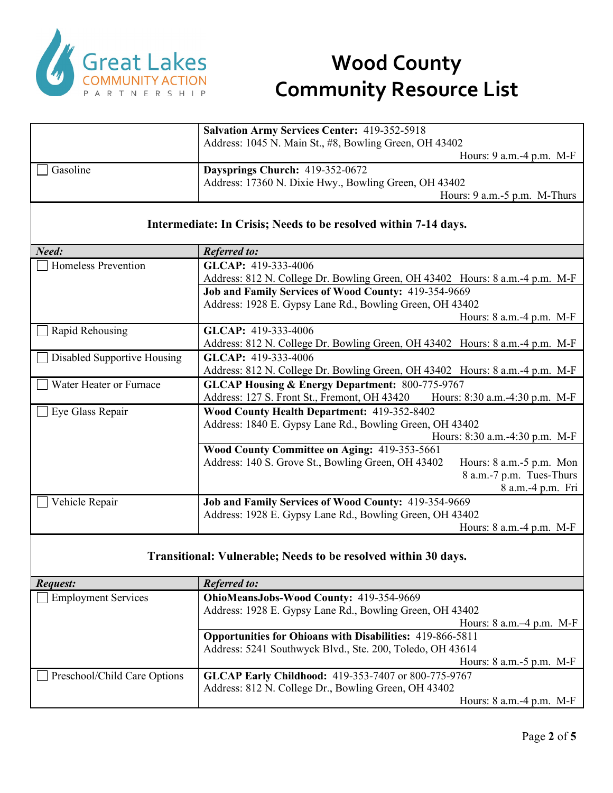

|          | <b>Salvation Army Services Center: 419-352-5918</b><br>Address: 1045 N. Main St., #8, Bowling Green, OH 43402 |
|----------|---------------------------------------------------------------------------------------------------------------|
|          | Hours: $9$ a.m. $-4$ p.m. M-F                                                                                 |
| Gasoline | Daysprings Church: 419-352-0672                                                                               |
|          | Address: 17360 N. Dixie Hwy., Bowling Green, OH 43402                                                         |
|          | Hours: 9 a.m.-5 p.m. M-Thurs                                                                                  |

#### **Intermediate: In Crisis; Needs to be resolved within 7-14 days.**

| Need:                              | <b>Referred to:</b>                                                                 |
|------------------------------------|-------------------------------------------------------------------------------------|
| Homeless Prevention                | GLCAP: 419-333-4006                                                                 |
|                                    | Address: 812 N. College Dr. Bowling Green, OH 43402 Hours: 8 a.m. -4 p.m. M-F       |
|                                    | <b>Job and Family Services of Wood County: 419-354-9669</b>                         |
|                                    | Address: 1928 E. Gypsy Lane Rd., Bowling Green, OH 43402                            |
|                                    | Hours: $8$ a.m. $-4$ p.m. M-F                                                       |
| Rapid Rehousing                    | GLCAP: 419-333-4006                                                                 |
|                                    | Address: 812 N. College Dr. Bowling Green, OH 43402 Hours: 8 a.m. -4 p.m. M-F       |
| <b>Disabled Supportive Housing</b> | GLCAP: 419-333-4006                                                                 |
|                                    | Address: 812 N. College Dr. Bowling Green, OH 43402 Hours: 8 a.m. -4 p.m. M-F       |
| Water Heater or Furnace            | <b>GLCAP Housing &amp; Energy Department: 800-775-9767</b>                          |
|                                    | Address: 127 S. Front St., Fremont, OH 43420<br>Hours: 8:30 a.m.-4:30 p.m. M-F      |
| Eye Glass Repair                   | Wood County Health Department: 419-352-8402                                         |
|                                    | Address: 1840 E. Gypsy Lane Rd., Bowling Green, OH 43402                            |
|                                    | Hours: 8:30 a.m.-4:30 p.m. M-F                                                      |
|                                    | Wood County Committee on Aging: 419-353-5661                                        |
|                                    | Address: 140 S. Grove St., Bowling Green, OH 43402<br>Hours: $8$ a.m.- $5$ p.m. Mon |
|                                    | 8 a.m.-7 p.m. Tues-Thurs                                                            |
|                                    | 8 a.m.-4 p.m. Fri                                                                   |
| Vehicle Repair                     | Job and Family Services of Wood County: 419-354-9669                                |
|                                    | Address: 1928 E. Gypsy Lane Rd., Bowling Green, OH 43402                            |
|                                    | Hours: $8$ a.m. $-4$ p.m. M-F                                                       |

### **Transitional: Vulnerable; Needs to be resolved within 30 days.**

| Request:                     | <b>Referred to:</b>                                              |
|------------------------------|------------------------------------------------------------------|
| $\Box$ Employment Services   | OhioMeansJobs-Wood County: 419-354-9669                          |
|                              | Address: 1928 E. Gypsy Lane Rd., Bowling Green, OH 43402         |
|                              | Hours: $8$ a.m. $-4$ p.m. M-F                                    |
|                              | <b>Opportunities for Ohioans with Disabilities: 419-866-5811</b> |
|                              | Address: 5241 Southwyck Blvd., Ste. 200, Toledo, OH 43614        |
|                              | Hours: $8$ a.m.- $5$ p.m. M-F                                    |
| Preschool/Child Care Options | GLCAP Early Childhood: 419-353-7407 or 800-775-9767              |
|                              | Address: 812 N. College Dr., Bowling Green, OH 43402             |
|                              | Hours: $8$ a.m. $-4$ p.m. M-F                                    |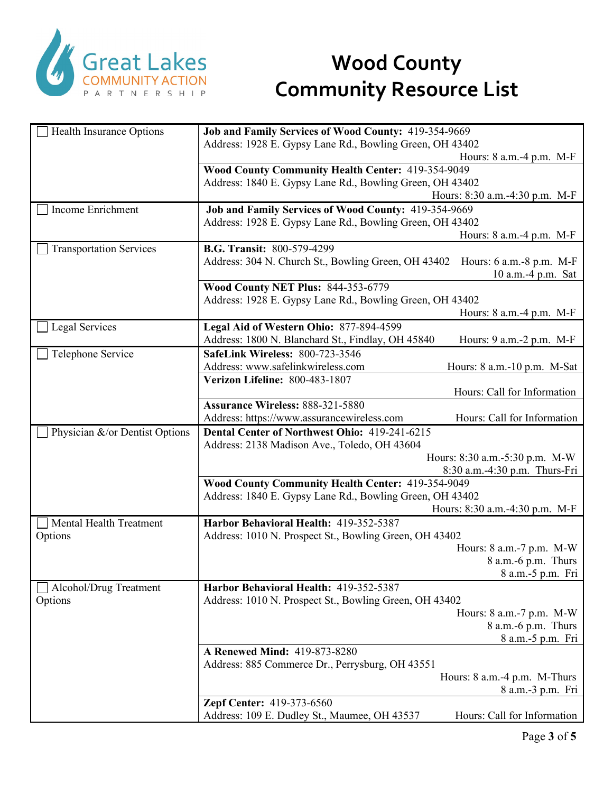

| Health Insurance Options       | Job and Family Services of Wood County: 419-354-9669                            |
|--------------------------------|---------------------------------------------------------------------------------|
|                                | Address: 1928 E. Gypsy Lane Rd., Bowling Green, OH 43402                        |
|                                | Hours: 8 a.m.-4 p.m. M-F                                                        |
|                                | Wood County Community Health Center: 419-354-9049                               |
|                                | Address: 1840 E. Gypsy Lane Rd., Bowling Green, OH 43402                        |
|                                | Hours: 8:30 a.m.-4:30 p.m. M-F                                                  |
| Income Enrichment              | Job and Family Services of Wood County: 419-354-9669                            |
|                                | Address: 1928 E. Gypsy Lane Rd., Bowling Green, OH 43402                        |
|                                | Hours: 8 a.m.-4 p.m. M-F                                                        |
| <b>Transportation Services</b> | <b>B.G. Transit: 800-579-4299</b>                                               |
|                                | Address: 304 N. Church St., Bowling Green, OH 43402<br>Hours: 6 a.m.-8 p.m. M-F |
|                                | 10 a.m.-4 p.m. Sat                                                              |
|                                | <b>Wood County NET Plus: 844-353-6779</b>                                       |
|                                | Address: 1928 E. Gypsy Lane Rd., Bowling Green, OH 43402                        |
|                                | Hours: 8 a.m. -4 p.m. M-F                                                       |
|                                | Legal Aid of Western Ohio: 877-894-4599                                         |
| Legal Services                 |                                                                                 |
|                                | Address: 1800 N. Blanchard St., Findlay, OH 45840<br>Hours: 9 a.m. - 2 p.m. M-F |
| Telephone Service              | <b>SafeLink Wireless: 800-723-3546</b>                                          |
|                                | Address: www.safelinkwireless.com<br>Hours: 8 a.m.-10 p.m. M-Sat                |
|                                | Verizon Lifeline: 800-483-1807                                                  |
|                                | Hours: Call for Information                                                     |
|                                | Assurance Wireless: 888-321-5880                                                |
|                                | Hours: Call for Information<br>Address: https://www.assurancewireless.com       |
| Physician &/or Dentist Options | Dental Center of Northwest Ohio: 419-241-6215                                   |
|                                | Address: 2138 Madison Ave., Toledo, OH 43604                                    |
|                                | Hours: 8:30 a.m.-5:30 p.m. M-W                                                  |
|                                | 8:30 a.m.-4:30 p.m. Thurs-Fri                                                   |
|                                | Wood County Community Health Center: 419-354-9049                               |
|                                | Address: 1840 E. Gypsy Lane Rd., Bowling Green, OH 43402                        |
|                                | Hours: 8:30 a.m.-4:30 p.m. M-F                                                  |
| Mental Health Treatment        | Harbor Behavioral Health: 419-352-5387                                          |
| Options                        | Address: 1010 N. Prospect St., Bowling Green, OH 43402                          |
|                                | Hours: 8 a.m.-7 p.m. M-W                                                        |
|                                | 8 a.m.-6 p.m. Thurs                                                             |
|                                | 8 a.m. -5 p.m. Fri                                                              |
| Alcohol/Drug Treatment         | Harbor Behavioral Health: 419-352-5387                                          |
| Options                        | Address: 1010 N. Prospect St., Bowling Green, OH 43402                          |
|                                | Hours: 8 a.m.-7 p.m. M-W                                                        |
|                                | 8 a.m.-6 p.m. Thurs                                                             |
|                                | 8 a.m.-5 p.m. Fri                                                               |
|                                | A Renewed Mind: 419-873-8280                                                    |
|                                |                                                                                 |
|                                | Address: 885 Commerce Dr., Perrysburg, OH 43551                                 |
|                                | Hours: 8 a.m.-4 p.m. M-Thurs                                                    |
|                                | 8 a.m.-3 p.m. Fri                                                               |
|                                | Zepf Center: 419-373-6560                                                       |
|                                | Hours: Call for Information<br>Address: 109 E. Dudley St., Maumee, OH 43537     |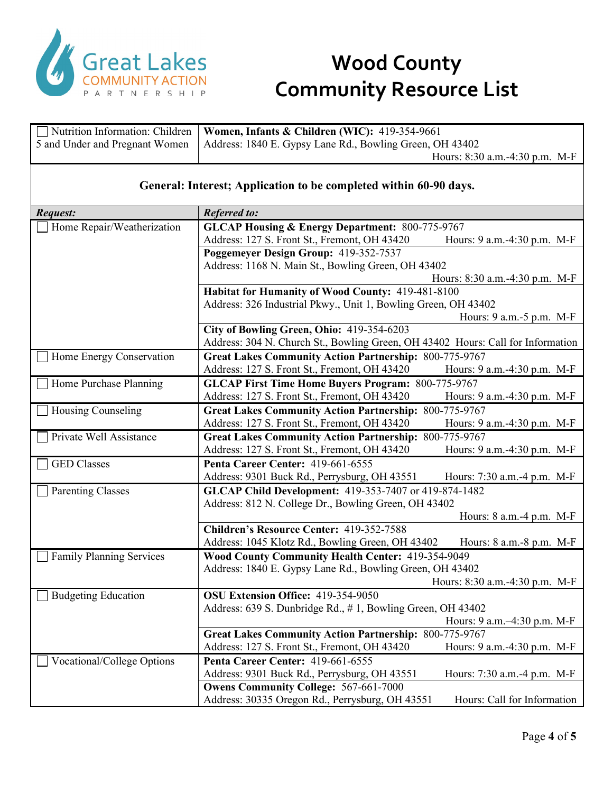

| Nutrition Information: Children                                   | Women, Infants & Children (WIC): 419-354-9661                                   |                                |
|-------------------------------------------------------------------|---------------------------------------------------------------------------------|--------------------------------|
| 5 and Under and Pregnant Women                                    | Address: 1840 E. Gypsy Lane Rd., Bowling Green, OH 43402                        |                                |
|                                                                   |                                                                                 | Hours: 8:30 a.m.-4:30 p.m. M-F |
|                                                                   |                                                                                 |                                |
| General: Interest; Application to be completed within 60-90 days. |                                                                                 |                                |
| Request:                                                          | <b>Referred to:</b>                                                             |                                |
| Home Repair/Weatherization                                        | <b>GLCAP Housing &amp; Energy Department: 800-775-9767</b>                      |                                |
|                                                                   | Address: 127 S. Front St., Fremont, OH 43420                                    | Hours: 9 a.m.-4:30 p.m. M-F    |
|                                                                   | Poggemeyer Design Group: 419-352-7537                                           |                                |
|                                                                   | Address: 1168 N. Main St., Bowling Green, OH 43402                              |                                |
|                                                                   |                                                                                 | Hours: 8:30 a.m.-4:30 p.m. M-F |
|                                                                   | Habitat for Humanity of Wood County: 419-481-8100                               |                                |
|                                                                   | Address: 326 Industrial Pkwy., Unit 1, Bowling Green, OH 43402                  |                                |
|                                                                   |                                                                                 | Hours: 9 a.m. -5 p.m. M-F      |
|                                                                   | City of Bowling Green, Ohio: 419-354-6203                                       |                                |
|                                                                   | Address: 304 N. Church St., Bowling Green, OH 43402 Hours: Call for Information |                                |
| Home Energy Conservation                                          | <b>Great Lakes Community Action Partnership: 800-775-9767</b>                   |                                |
|                                                                   | Address: 127 S. Front St., Fremont, OH 43420                                    | Hours: 9 a.m.-4:30 p.m. M-F    |
| Home Purchase Planning                                            | <b>GLCAP First Time Home Buyers Program: 800-775-9767</b>                       |                                |
|                                                                   | Address: 127 S. Front St., Fremont, OH 43420                                    | Hours: 9 a.m.-4:30 p.m. M-F    |
| Housing Counseling                                                | <b>Great Lakes Community Action Partnership: 800-775-9767</b>                   |                                |
|                                                                   | Address: 127 S. Front St., Fremont, OH 43420                                    | Hours: 9 a.m.-4:30 p.m. M-F    |
| Private Well Assistance                                           | <b>Great Lakes Community Action Partnership: 800-775-9767</b>                   |                                |
|                                                                   | Address: 127 S. Front St., Fremont, OH 43420                                    | Hours: 9 a.m.-4:30 p.m. M-F    |
| <b>GED</b> Classes                                                | Penta Career Center: 419-661-6555                                               |                                |
|                                                                   | Address: 9301 Buck Rd., Perrysburg, OH 43551                                    | Hours: 7:30 a.m.-4 p.m. M-F    |
| <b>Parenting Classes</b>                                          | GLCAP Child Development: 419-353-7407 or 419-874-1482                           |                                |
|                                                                   | Address: 812 N. College Dr., Bowling Green, OH 43402                            |                                |
|                                                                   |                                                                                 | Hours: 8 a.m.-4 p.m. M-F       |
|                                                                   | Children's Resource Center: 419-352-7588                                        |                                |
|                                                                   | Address: 1045 Klotz Rd., Bowling Green, OH 43402                                | Hours: 8 a.m.-8 p.m. M-F       |
| <b>Family Planning Services</b>                                   | Wood County Community Health Center: 419-354-9049                               |                                |
|                                                                   | Address: 1840 E. Gypsy Lane Rd., Bowling Green, OH 43402                        |                                |
|                                                                   |                                                                                 | Hours: 8:30 a.m.-4:30 p.m. M-F |
| <b>Budgeting Education</b>                                        | OSU Extension Office: 419-354-9050                                              |                                |
|                                                                   | Address: 639 S. Dunbridge Rd., #1, Bowling Green, OH 43402                      |                                |
|                                                                   |                                                                                 | Hours: 9 a.m. -4:30 p.m. M-F   |
|                                                                   | <b>Great Lakes Community Action Partnership: 800-775-9767</b>                   |                                |
|                                                                   | Address: 127 S. Front St., Fremont, OH 43420                                    | Hours: 9 a.m.-4:30 p.m. M-F    |
| Vocational/College Options                                        | Penta Career Center: 419-661-6555                                               |                                |
|                                                                   | Address: 9301 Buck Rd., Perrysburg, OH 43551                                    | Hours: 7:30 a.m.-4 p.m. M-F    |
|                                                                   | <b>Owens Community College: 567-661-7000</b>                                    |                                |
|                                                                   | Address: 30335 Oregon Rd., Perrysburg, OH 43551                                 | Hours: Call for Information    |